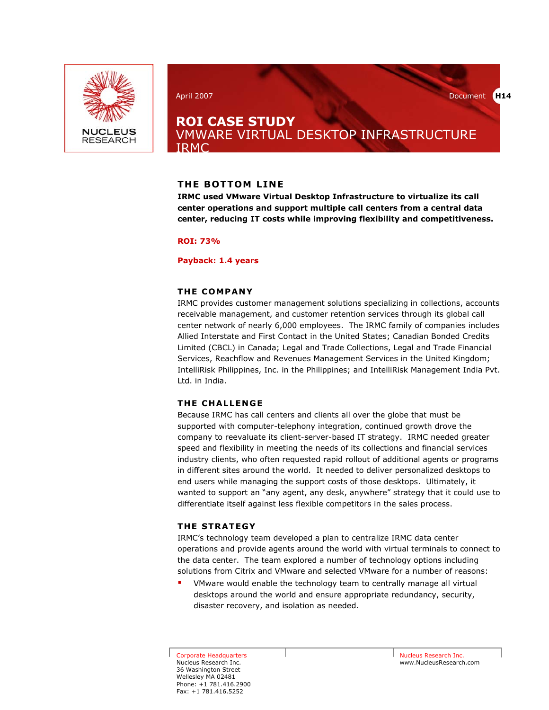

April 2007 Document **H14** 

## **ROI CASE STUDY**  VMWARE VIRTUAL DESKTOP INFRASTRUCTURE IRMC

## **THE BOTTOM LINE**

**IRMC used VMware Virtual Desktop Infrastructure to virtualize its call center operations and support multiple call centers from a central data center, reducing IT costs while improving flexibility and competitiveness.** 

**ROI: 73%** 

### **Payback: 1.4 years**

## **THE COMPANY**

IRMC provides customer management solutions specializing in collections, accounts receivable management, and customer retention services through its global call center network of nearly 6,000 employees. The IRMC family of companies includes Allied Interstate and First Contact in the United States; Canadian Bonded Credits Limited (CBCL) in Canada; Legal and Trade Collections, Legal and Trade Financial Services, Reachflow and Revenues Management Services in the United Kingdom; IntelliRisk Philippines, Inc. in the Philippines; and IntelliRisk Management India Pvt. Ltd. in India.

## **THE CHALLENGE**

Because IRMC has call centers and clients all over the globe that must be supported with computer-telephony integration, continued growth drove the company to reevaluate its client-server-based IT strategy. IRMC needed greater speed and flexibility in meeting the needs of its collections and financial services industry clients, who often requested rapid rollout of additional agents or programs in different sites around the world. It needed to deliver personalized desktops to end users while managing the support costs of those desktops. Ultimately, it wanted to support an "any agent, any desk, anywhere" strategy that it could use to differentiate itself against less flexible competitors in the sales process.

## **THE STRATEGY**

IRMC's technology team developed a plan to centralize IRMC data center operations and provide agents around the world with virtual terminals to connect to the data center. The team explored a number of technology options including solutions from Citrix and VMware and selected VMware for a number of reasons:

 VMware would enable the technology team to centrally manage all virtual desktops around the world and ensure appropriate redundancy, security, disaster recovery, and isolation as needed.

Corporate Headquarters Nucleus Research Inc. 36 Washington Street Wellesley MA 02481 Phone: +1 781.416.2900 Fax: +1 781.416.5252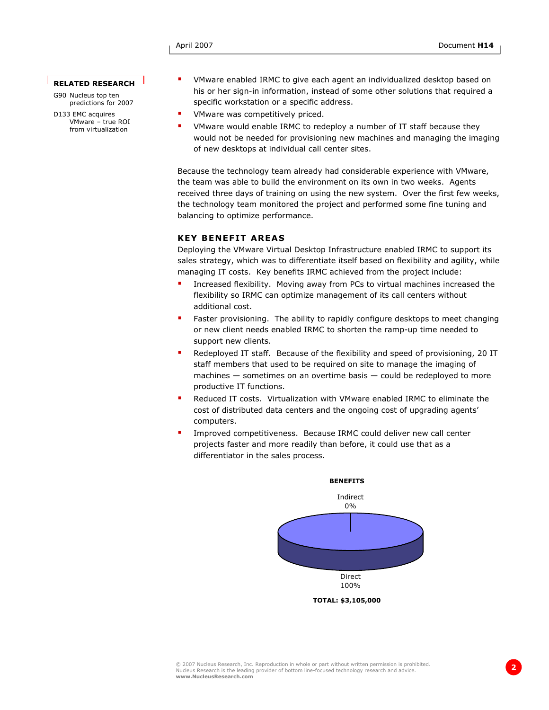#### **RELATED RESEARCH**

G90 Nucleus top ten predictions for 2007

D133 EMC acquires VMware – true ROI from virtualization

- VMware enabled IRMC to give each agent an individualized desktop based on his or her sign-in information, instead of some other solutions that required a specific workstation or a specific address.
- VMware was competitively priced.
- VMware would enable IRMC to redeploy a number of IT staff because they would not be needed for provisioning new machines and managing the imaging of new desktops at individual call center sites.

Because the technology team already had considerable experience with VMware, the team was able to build the environment on its own in two weeks. Agents received three days of training on using the new system. Over the first few weeks, the technology team monitored the project and performed some fine tuning and balancing to optimize performance.

#### **KEY BENEFIT AREAS**

Deploying the VMware Virtual Desktop Infrastructure enabled IRMC to support its sales strategy, which was to differentiate itself based on flexibility and agility, while managing IT costs. Key benefits IRMC achieved from the project include:

- Increased flexibility. Moving away from PCs to virtual machines increased the flexibility so IRMC can optimize management of its call centers without additional cost.
- Faster provisioning. The ability to rapidly configure desktops to meet changing or new client needs enabled IRMC to shorten the ramp-up time needed to support new clients.
- Redeployed IT staff. Because of the flexibility and speed of provisioning, 20 IT staff members that used to be required on site to manage the imaging of machines — sometimes on an overtime basis — could be redeployed to more productive IT functions.
- Reduced IT costs. Virtualization with VMware enabled IRMC to eliminate the cost of distributed data centers and the ongoing cost of upgrading agents' computers.
- Improved competitiveness. Because IRMC could deliver new call center projects faster and more readily than before, it could use that as a differentiator in the sales process.

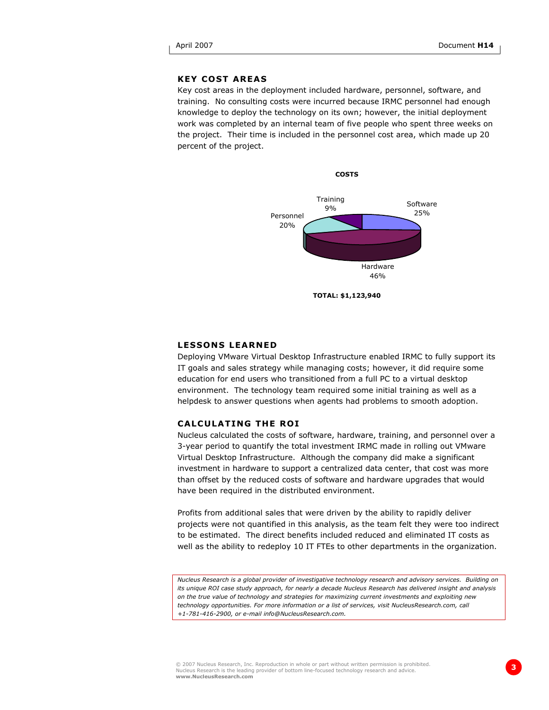## **KEY COST AREAS**

Key cost areas in the deployment included hardware, personnel, software, and training. No consulting costs were incurred because IRMC personnel had enough knowledge to deploy the technology on its own; however, the initial deployment work was completed by an internal team of five people who spent three weeks on the project. Their time is included in the personnel cost area, which made up 20 percent of the project.



#### **LESSONS LEARNED**

Deploying VMware Virtual Desktop Infrastructure enabled IRMC to fully support its IT goals and sales strategy while managing costs; however, it did require some education for end users who transitioned from a full PC to a virtual desktop environment. The technology team required some initial training as well as a helpdesk to answer questions when agents had problems to smooth adoption.

#### **CALCULATING THE ROI**

Nucleus calculated the costs of software, hardware, training, and personnel over a 3-year period to quantify the total investment IRMC made in rolling out VMware Virtual Desktop Infrastructure. Although the company did make a significant investment in hardware to support a centralized data center, that cost was more than offset by the reduced costs of software and hardware upgrades that would have been required in the distributed environment.

Profits from additional sales that were driven by the ability to rapidly deliver projects were not quantified in this analysis, as the team felt they were too indirect to be estimated. The direct benefits included reduced and eliminated IT costs as well as the ability to redeploy 10 IT FTEs to other departments in the organization.

*Nucleus Research is a global provider of investigative technology research and advisory services. Building on its unique ROI case study approach, for nearly a decade Nucleus Research has delivered insight and analysis on the true value of technology and strategies for maximizing current investments and exploiting new technology opportunities. For more information or a list of services, visit NucleusResearch.com, call +1-781-416-2900, or e-mail info@NucleusResearch.com.*